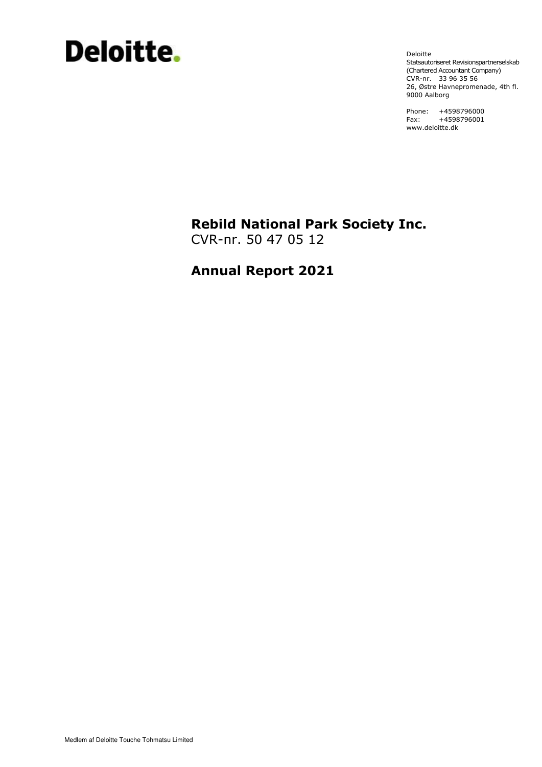# Deloitte.

Deloitte Statsautoriseret Revisionspartnerselskab (Chartered Accountant Company) CVR-nr. 33 96 35 56 26, Østre Havnepromenade, 4th fl. 9000 Aalborg

Phone: +4598796000 Fax: +4598796001 www.deloitte.dk

# **Rebild National Park Society Inc.**

CVR-nr. 50 47 05 12

# **Annual Report 2021**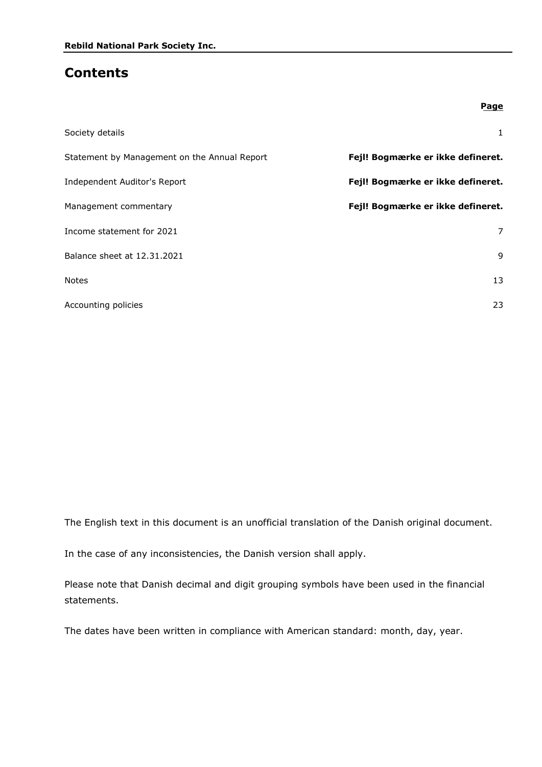### **Contents**

|                                              | Page                              |
|----------------------------------------------|-----------------------------------|
| Society details                              | $\mathbf{1}$                      |
| Statement by Management on the Annual Report | Fejl! Bogmærke er ikke defineret. |
| Independent Auditor's Report                 | Fejl! Bogmærke er ikke defineret. |
| Management commentary                        | Fejl! Bogmærke er ikke defineret. |
| Income statement for 2021                    | 7                                 |
| Balance sheet at 12.31.2021                  | 9                                 |
| <b>Notes</b>                                 | 13                                |
| Accounting policies                          | 23                                |

The English text in this document is an unofficial translation of the Danish original document.

In the case of any inconsistencies, the Danish version shall apply.

Please note that Danish decimal and digit grouping symbols have been used in the financial statements.

The dates have been written in compliance with American standard: month, day, year.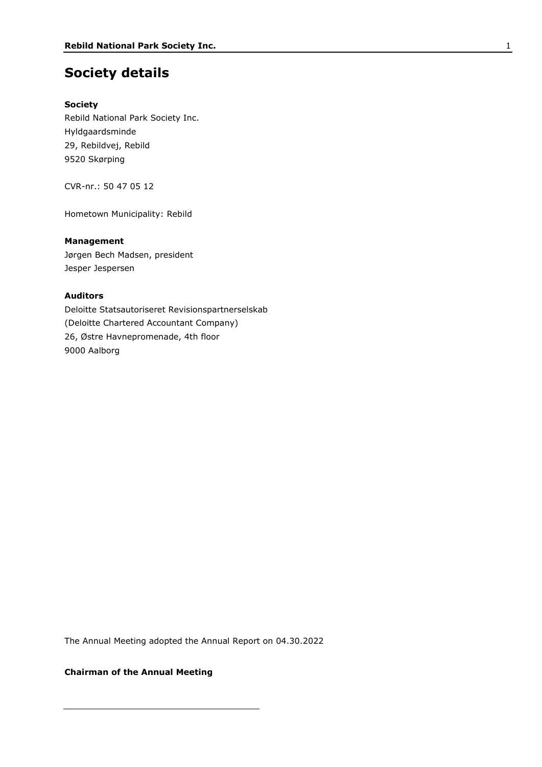### **Society details**

### **Society**

Rebild National Park Society Inc. Hyldgaardsminde 29, Rebildvej, Rebild 9520 Skørping

CVR-nr.: 50 47 05 12

Hometown Municipality: Rebild

### **Management**

Jørgen Bech Madsen, president Jesper Jespersen

### **Auditors**

Deloitte Statsautoriseret Revisionspartnerselskab (Deloitte Chartered Accountant Company) 26, Østre Havnepromenade, 4th floor 9000 Aalborg

The Annual Meeting adopted the Annual Report on 04.30.2022

### **Chairman of the Annual Meeting**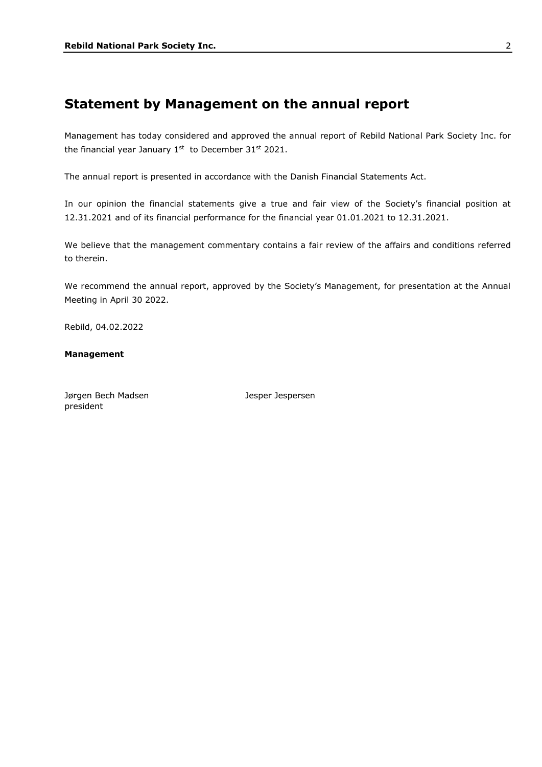### **Statement by Management on the annual report**

Management has today considered and approved the annual report of Rebild National Park Society Inc. for the financial year January  $1^{st}$  to December 31st 2021.

The annual report is presented in accordance with the Danish Financial Statements Act.

In our opinion the financial statements give a true and fair view of the Society's financial position at 12.31.2021 and of its financial performance for the financial year 01.01.2021 to 12.31.2021.

We believe that the management commentary contains a fair review of the affairs and conditions referred to therein.

We recommend the annual report, approved by the Society's Management, for presentation at the Annual Meeting in April 30 2022.

Rebild, 04.02.2022

### **Management**

Jørgen Bech Madsen Mannesott var desper Jespersen president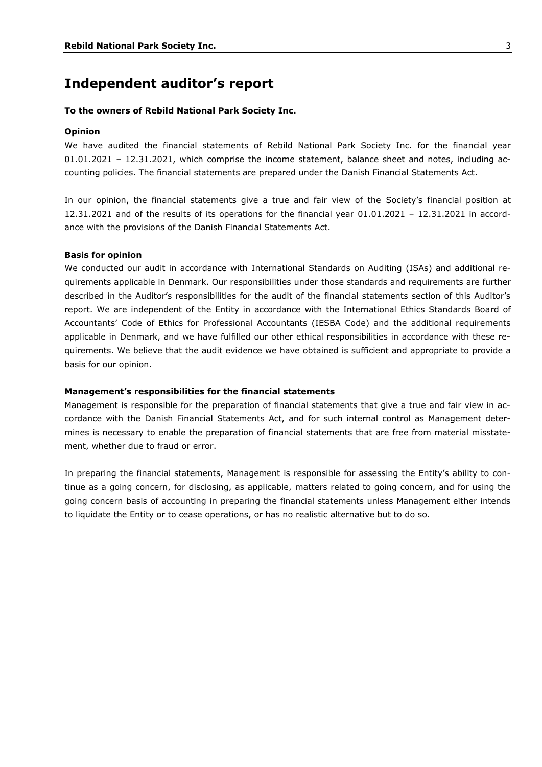### **Independent auditor's report**

#### **To the owners of Rebild National Park Society Inc.**

#### **Opinion**

We have audited the financial statements of Rebild National Park Society Inc. for the financial year 01.01.2021 – 12.31.2021, which comprise the income statement, balance sheet and notes, including accounting policies. The financial statements are prepared under the Danish Financial Statements Act.

In our opinion, the financial statements give a true and fair view of the Society's financial position at 12.31.2021 and of the results of its operations for the financial year 01.01.2021 – 12.31.2021 in accordance with the provisions of the Danish Financial Statements Act.

#### **Basis for opinion**

We conducted our audit in accordance with International Standards on Auditing (ISAs) and additional requirements applicable in Denmark. Our responsibilities under those standards and requirements are further described in the Auditor's responsibilities for the audit of the financial statements section of this Auditor's report. We are independent of the Entity in accordance with the International Ethics Standards Board of Accountants' Code of Ethics for Professional Accountants (IESBA Code) and the additional requirements applicable in Denmark, and we have fulfilled our other ethical responsibilities in accordance with these requirements. We believe that the audit evidence we have obtained is sufficient and appropriate to provide a basis for our opinion.

#### **Management's responsibilities for the financial statements**

Management is responsible for the preparation of financial statements that give a true and fair view in accordance with the Danish Financial Statements Act, and for such internal control as Management determines is necessary to enable the preparation of financial statements that are free from material misstatement, whether due to fraud or error.

In preparing the financial statements, Management is responsible for assessing the Entity's ability to continue as a going concern, for disclosing, as applicable, matters related to going concern, and for using the going concern basis of accounting in preparing the financial statements unless Management either intends to liquidate the Entity or to cease operations, or has no realistic alternative but to do so.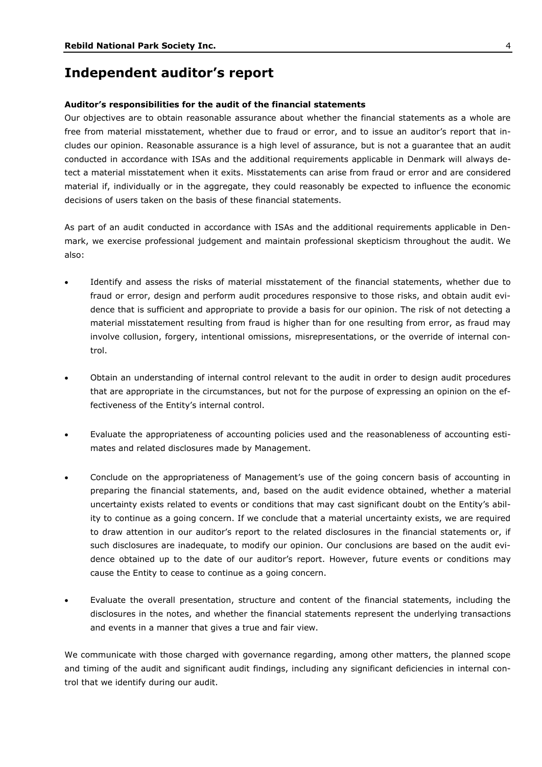### **Independent auditor's report**

#### **Auditor's responsibilities for the audit of the financial statements**

Our objectives are to obtain reasonable assurance about whether the financial statements as a whole are free from material misstatement, whether due to fraud or error, and to issue an auditor's report that includes our opinion. Reasonable assurance is a high level of assurance, but is not a guarantee that an audit conducted in accordance with ISAs and the additional requirements applicable in Denmark will always detect a material misstatement when it exits. Misstatements can arise from fraud or error and are considered material if, individually or in the aggregate, they could reasonably be expected to influence the economic decisions of users taken on the basis of these financial statements.

As part of an audit conducted in accordance with ISAs and the additional requirements applicable in Denmark, we exercise professional judgement and maintain professional skepticism throughout the audit. We also:

- Identify and assess the risks of material misstatement of the financial statements, whether due to fraud or error, design and perform audit procedures responsive to those risks, and obtain audit evidence that is sufficient and appropriate to provide a basis for our opinion. The risk of not detecting a material misstatement resulting from fraud is higher than for one resulting from error, as fraud may involve collusion, forgery, intentional omissions, misrepresentations, or the override of internal control.
- Obtain an understanding of internal control relevant to the audit in order to design audit procedures that are appropriate in the circumstances, but not for the purpose of expressing an opinion on the effectiveness of the Entity's internal control.
- Evaluate the appropriateness of accounting policies used and the reasonableness of accounting estimates and related disclosures made by Management.
- Conclude on the appropriateness of Management's use of the going concern basis of accounting in preparing the financial statements, and, based on the audit evidence obtained, whether a material uncertainty exists related to events or conditions that may cast significant doubt on the Entity's ability to continue as a going concern. If we conclude that a material uncertainty exists, we are required to draw attention in our auditor's report to the related disclosures in the financial statements or, if such disclosures are inadequate, to modify our opinion. Our conclusions are based on the audit evidence obtained up to the date of our auditor's report. However, future events or conditions may cause the Entity to cease to continue as a going concern.
- Evaluate the overall presentation, structure and content of the financial statements, including the disclosures in the notes, and whether the financial statements represent the underlying transactions and events in a manner that gives a true and fair view.

We communicate with those charged with governance regarding, among other matters, the planned scope and timing of the audit and significant audit findings, including any significant deficiencies in internal control that we identify during our audit.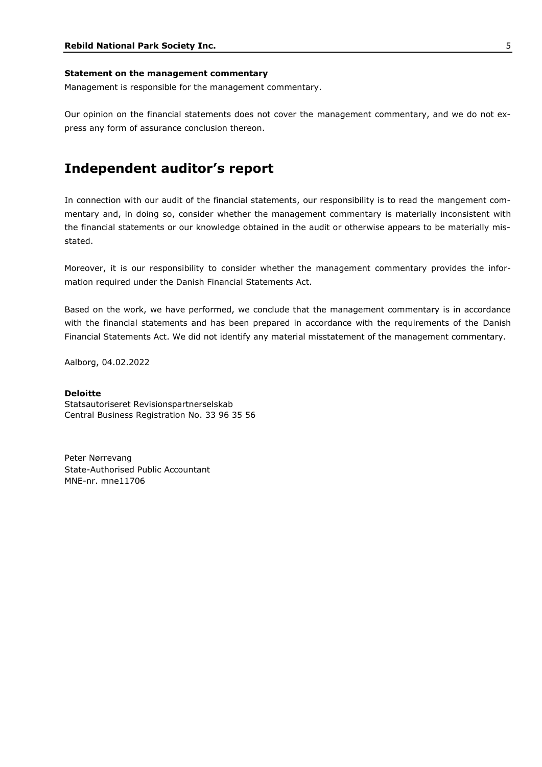#### **Statement on the management commentary**

Management is responsible for the management commentary.

Our opinion on the financial statements does not cover the management commentary, and we do not express any form of assurance conclusion thereon.

### **Independent auditor's report**

In connection with our audit of the financial statements, our responsibility is to read the mangement commentary and, in doing so, consider whether the management commentary is materially inconsistent with the financial statements or our knowledge obtained in the audit or otherwise appears to be materially misstated.

Moreover, it is our responsibility to consider whether the management commentary provides the information required under the Danish Financial Statements Act.

Based on the work, we have performed, we conclude that the management commentary is in accordance with the financial statements and has been prepared in accordance with the requirements of the Danish Financial Statements Act. We did not identify any material misstatement of the management commentary.

Aalborg, 04.02.2022

### **Deloitte**

Statsautoriseret Revisionspartnerselskab Central Business Registration No. 33 96 35 56

Peter Nørrevang State-Authorised Public Accountant MNE-nr. mne11706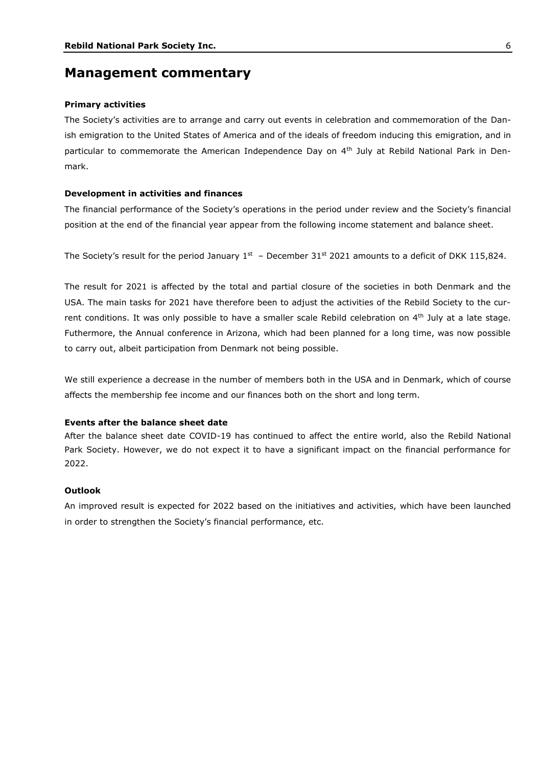### **Management commentary**

#### **Primary activities**

The Society's activities are to arrange and carry out events in celebration and commemoration of the Danish emigration to the United States of America and of the ideals of freedom inducing this emigration, and in particular to commemorate the American Independence Day on 4<sup>th</sup> July at Rebild National Park in Denmark.

#### **Development in activities and finances**

The financial performance of the Society's operations in the period under review and the Society's financial position at the end of the financial year appear from the following income statement and balance sheet.

The Society's result for the period January  $1^{st}$  – December 31st 2021 amounts to a deficit of DKK 115,824.

The result for 2021 is affected by the total and partial closure of the societies in both Denmark and the USA. The main tasks for 2021 have therefore been to adjust the activities of the Rebild Society to the current conditions. It was only possible to have a smaller scale Rebild celebration on 4th July at a late stage. Futhermore, the Annual conference in Arizona, which had been planned for a long time, was now possible to carry out, albeit participation from Denmark not being possible.

We still experience a decrease in the number of members both in the USA and in Denmark, which of course affects the membership fee income and our finances both on the short and long term.

#### **Events after the balance sheet date**

After the balance sheet date COVID-19 has continued to affect the entire world, also the Rebild National Park Society. However, we do not expect it to have a significant impact on the financial performance for 2022.

#### **Outlook**

An improved result is expected for 2022 based on the initiatives and activities, which have been launched in order to strengthen the Society's financial performance, etc.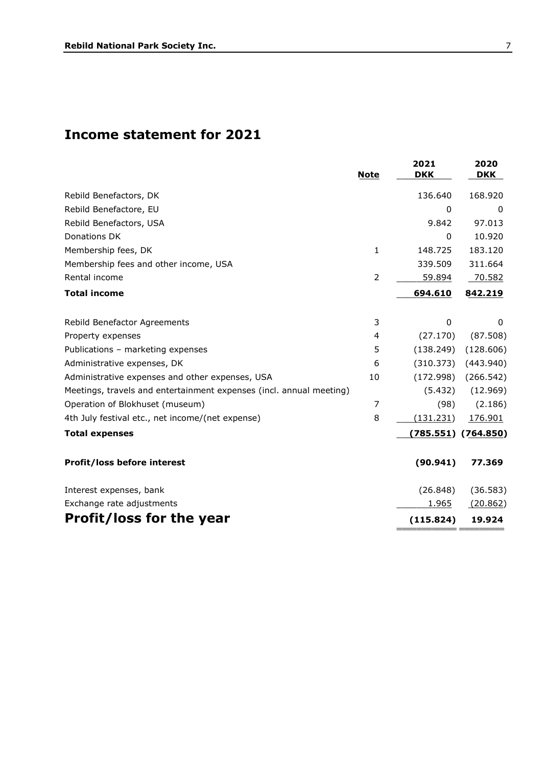# **Income statement for 2021**

|                                                                     | <b>Note</b>    | 2021<br><b>DKK</b> | 2020<br><b>DKK</b> |
|---------------------------------------------------------------------|----------------|--------------------|--------------------|
| Rebild Benefactors, DK                                              |                | 136.640            | 168.920            |
| Rebild Benefactore, EU                                              |                | 0                  | 0                  |
| Rebild Benefactors, USA                                             |                | 9.842              | 97.013             |
| Donations DK                                                        |                | 0                  | 10.920             |
| Membership fees, DK                                                 | 1              | 148.725            | 183.120            |
| Membership fees and other income, USA                               |                | 339.509            | 311.664            |
| Rental income                                                       | $\overline{2}$ | 59.894             | 70.582             |
| <b>Total income</b>                                                 |                | 694.610            | 842.219            |
| Rebild Benefactor Agreements                                        | 3              | 0                  | 0                  |
| Property expenses                                                   | 4              | (27.170)           | (87.508)           |
| Publications - marketing expenses                                   | 5              | (138.249)          | (128.606)          |
| Administrative expenses, DK                                         | 6              | (310.373)          | (443.940)          |
| Administrative expenses and other expenses, USA                     | 10             | (172.998)          | (266.542)          |
| Meetings, travels and entertainment expenses (incl. annual meeting) |                | (5.432)            | (12.969)           |
| Operation of Blokhuset (museum)                                     | 7              | (98)               | (2.186)            |
| 4th July festival etc., net income/(net expense)                    | 8              | (131.231)          | 176.901            |
| <b>Total expenses</b>                                               |                | (785.551)          | (764.850)          |
| Profit/loss before interest                                         |                | (90.941)           | 77.369             |
| Interest expenses, bank                                             |                | (26.848)           | (36.583)           |
| Exchange rate adjustments                                           |                | <u>1.965</u>       | (20.862)           |
| <b>Profit/loss for the year</b>                                     |                | (115.824)          | 19.924             |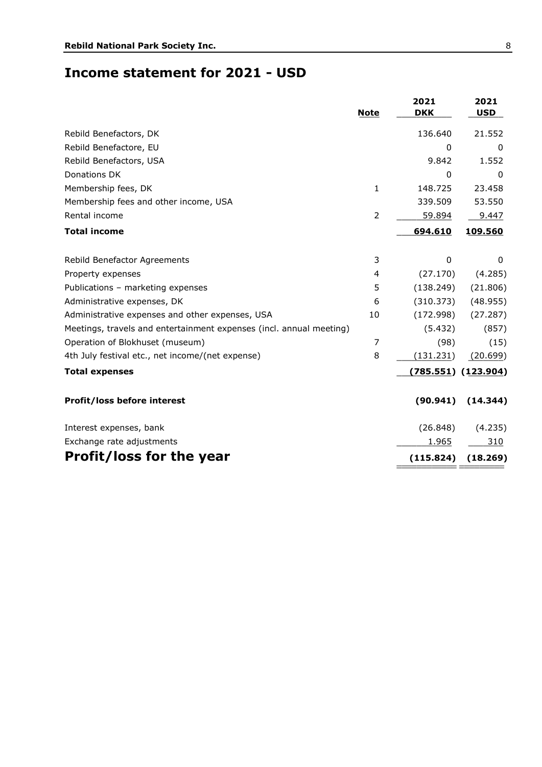### **Income statement for 2021 - USD**

|                                                                     | <b>Note</b>  | 2021<br><b>DKK</b> | 2021<br><b>USD</b>      |
|---------------------------------------------------------------------|--------------|--------------------|-------------------------|
| Rebild Benefactors, DK                                              |              | 136.640            | 21.552                  |
| Rebild Benefactore, EU                                              |              | 0                  | 0                       |
| Rebild Benefactors, USA                                             |              | 9.842              | 1.552                   |
| Donations DK                                                        |              | 0                  | 0                       |
| Membership fees, DK                                                 | $\mathbf{1}$ | 148.725            | 23.458                  |
| Membership fees and other income, USA                               |              | 339.509            | 53.550                  |
| Rental income                                                       | 2            | 59.894             | 9.447                   |
| <b>Total income</b>                                                 |              | 694.610            | 109.560                 |
| Rebild Benefactor Agreements                                        | 3            | $\mathbf 0$        | $\mathbf{0}$            |
| Property expenses                                                   | 4            | (27.170)           | (4.285)                 |
| Publications - marketing expenses                                   | 5            | (138.249)          | (21.806)                |
| Administrative expenses, DK                                         | 6            | (310.373)          | (48.955)                |
| Administrative expenses and other expenses, USA                     | 10           | (172.998)          | (27.287)                |
| Meetings, travels and entertainment expenses (incl. annual meeting) |              | (5.432)            | (857)                   |
| Operation of Blokhuset (museum)                                     | 7            | (98)               | (15)                    |
| 4th July festival etc., net income/(net expense)                    | 8            | (131.231)          | (20.699)                |
| <b>Total expenses</b>                                               |              |                    | $(785.551)$ $(123.904)$ |
| Profit/loss before interest                                         |              | (90.941)           | (14.344)                |
| Interest expenses, bank                                             |              | (26.848)           | (4.235)                 |
| Exchange rate adjustments                                           |              | 1.965              | 310                     |
| <b>Profit/loss for the year</b>                                     |              | (115.824)          | (18.269)                |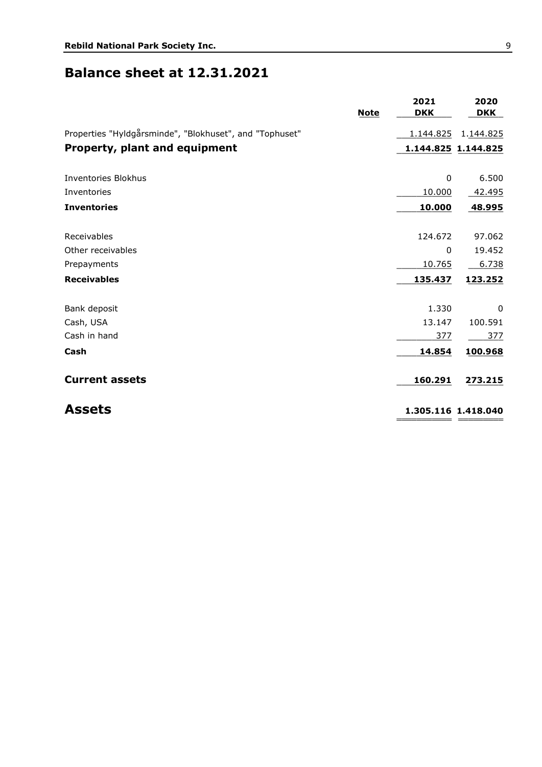# **Balance sheet at 12.31.2021**

| <b>Note</b>                                             | 2021<br><b>DKK</b> | 2020<br><b>DKK</b>  |
|---------------------------------------------------------|--------------------|---------------------|
| Properties "Hyldgårsminde", "Blokhuset", and "Tophuset" | 1.144.825          | 1.144.825           |
| <b>Property, plant and equipment</b>                    |                    | 1.144.825 1.144.825 |
| Inventories Blokhus                                     | 0                  | 6.500               |
| Inventories                                             | 10.000             | 42.495              |
| <b>Inventories</b>                                      | 10.000             | 48.995              |
|                                                         |                    |                     |
| Receivables                                             | 124.672            | 97.062              |
| Other receivables                                       | 0                  | 19.452              |
| Prepayments                                             | 10.765             | 6.738               |
| <b>Receivables</b>                                      | 135.437            | 123.252             |
| Bank deposit                                            | 1.330              | $\mathbf{0}$        |
| Cash, USA                                               | 13.147             | 100.591             |
| Cash in hand                                            | 377                | 377                 |
| Cash                                                    | 14.854             | 100.968             |
| <b>Current assets</b>                                   | 160.291            | 273.215             |
| <b>Assets</b>                                           |                    | 1.305.116 1.418.040 |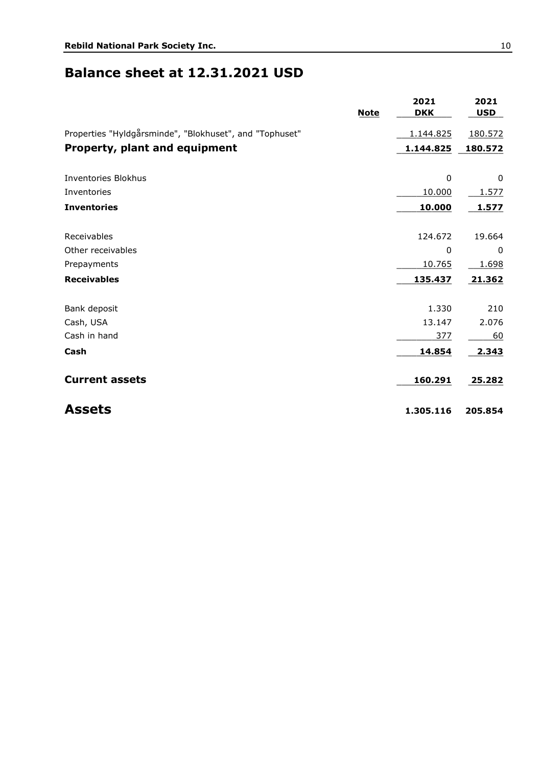### **Balance sheet at 12.31.2021 USD**

|                                                         | <b>Note</b> | 2021<br><b>DKK</b> | 2021<br><b>USD</b> |
|---------------------------------------------------------|-------------|--------------------|--------------------|
| Properties "Hyldgårsminde", "Blokhuset", and "Tophuset" |             | 1.144.825          | 180.572            |
| <b>Property, plant and equipment</b>                    |             | 1.144.825          | 180.572            |
| <b>Inventories Blokhus</b>                              |             | 0                  | 0                  |
| Inventories                                             |             | 10.000             | 1.577              |
| <b>Inventories</b>                                      |             | 10.000             | 1.577              |
| Receivables                                             |             | 124.672            | 19.664             |
| Other receivables                                       |             | 0                  | 0                  |
| Prepayments                                             |             | 10.765             | 1.698              |
| <b>Receivables</b>                                      |             | 135.437            | 21.362             |
| Bank deposit                                            |             | 1.330              | 210                |
| Cash, USA                                               |             | 13.147             | 2.076              |
| Cash in hand                                            |             | 377                | 60                 |
| Cash                                                    |             | 14.854             | 2.343              |
| <b>Current assets</b>                                   |             | 160.291            | 25.282             |
| <b>Assets</b>                                           |             | 1.305.116          | 205.854            |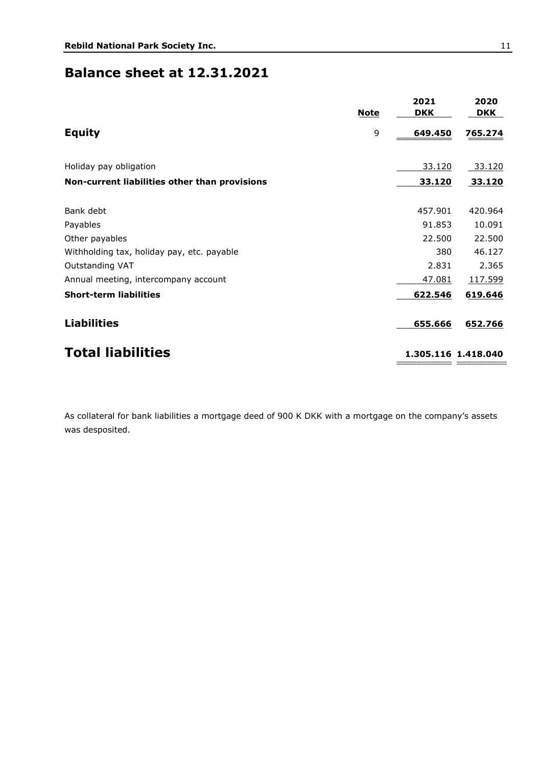### **Balance sheet at 12.31.2021**

|                                               | <b>Note</b> | 2021<br><b>DKK</b> | 2020<br><b>DKK</b>  |
|-----------------------------------------------|-------------|--------------------|---------------------|
| <b>Equity</b>                                 | 9           | 649.450            | 765.274             |
| Holiday pay obligation                        |             | 33.120             | 33.120              |
| Non-current liabilities other than provisions |             | 33.120             | 33.120              |
| Bank debt                                     |             | 457.901            | 420.964             |
| Payables                                      |             | 91.853             | 10.091              |
| Other payables                                |             | 22.500             | 22.500              |
| Withholding tax, holiday pay, etc. payable    |             | 380                | 46.127              |
| Outstanding VAT                               |             | 2.831              | 2.365               |
| Annual meeting, intercompany account          |             | 47.081             | 117.599             |
| <b>Short-term liabilities</b>                 |             | 622.546            | 619.646             |
| <b>Liabilities</b>                            |             | 655.666            | 652.766             |
| <b>Total liabilities</b>                      |             |                    | 1.305.116 1.418.040 |
|                                               |             |                    |                     |

As collateral for bank liabilities a mortgage deed of 900 K DKK with a mortgage on the company's assets was desposited.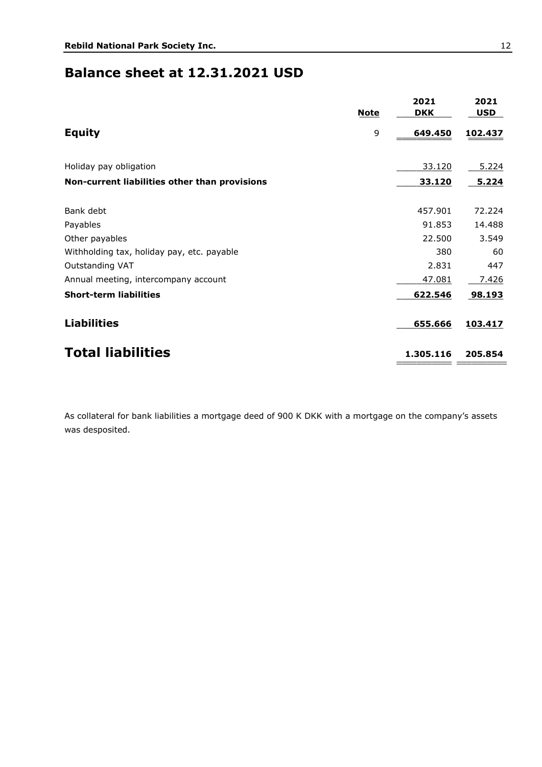### **Balance sheet at 12.31.2021 USD**

|                                               | <b>Note</b> | 2021<br><b>DKK</b> | 2021<br><b>USD</b> |
|-----------------------------------------------|-------------|--------------------|--------------------|
| <b>Equity</b>                                 | 9           | 649.450            | 102.437            |
| Holiday pay obligation                        |             | 33.120             | 5.224              |
| Non-current liabilities other than provisions |             | 33.120             | 5.224              |
| Bank debt                                     |             | 457.901            | 72.224             |
| Payables                                      |             | 91.853             | 14.488             |
| Other payables                                |             | 22.500             | 3.549              |
| Withholding tax, holiday pay, etc. payable    |             | 380                | 60                 |
| Outstanding VAT                               |             | 2.831              | 447                |
| Annual meeting, intercompany account          |             | 47.081             | 7.426              |
| <b>Short-term liabilities</b>                 |             | 622.546            | 98.193             |
| <b>Liabilities</b>                            |             | 655.666            | 103.417            |
| <b>Total liabilities</b>                      |             | 1.305.116          | 205.854            |

As collateral for bank liabilities a mortgage deed of 900 K DKK with a mortgage on the company's assets was desposited.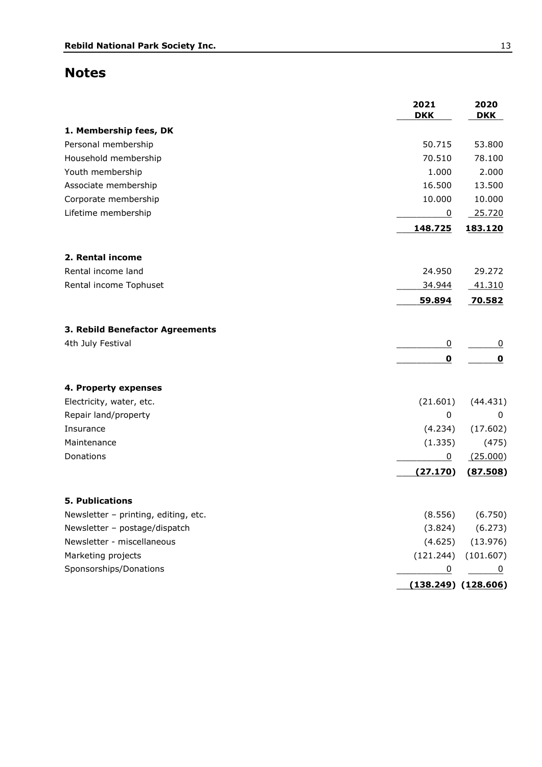### **Notes**

|                                      | 2021<br><b>DKK</b> | 2020<br><b>DKK</b>      |
|--------------------------------------|--------------------|-------------------------|
| 1. Membership fees, DK               |                    |                         |
| Personal membership                  | 50.715             | 53.800                  |
| Household membership                 | 70.510             | 78.100                  |
| Youth membership                     | 1.000              | 2.000                   |
| Associate membership                 | 16.500             | 13.500                  |
| Corporate membership                 | 10.000             | 10.000                  |
| Lifetime membership                  | $\overline{0}$     | 25.720                  |
|                                      | 148.725            | 183.120                 |
| 2. Rental income                     |                    |                         |
| Rental income land                   | 24.950             | 29.272                  |
| Rental income Tophuset               | 34.944             | 41.310                  |
|                                      | 59.894             | 70.582                  |
| 3. Rebild Benefactor Agreements      |                    |                         |
| 4th July Festival                    | $\overline{0}$     | $\overline{0}$          |
|                                      | $\mathbf 0$        | 0                       |
| 4. Property expenses                 |                    |                         |
| Electricity, water, etc.             | (21.601)           | (44.431)                |
| Repair land/property                 | 0                  | 0                       |
| Insurance                            | (4.234)            | (17.602)                |
| Maintenance                          | (1.335)            | (475)                   |
| Donations                            | $\overline{0}$     | (25.000)                |
|                                      | (27.170)           | (87.508)                |
| <b>5. Publications</b>               |                    |                         |
| Newsletter - printing, editing, etc. | (8.556)            | (6.750)                 |
| Newsletter - postage/dispatch        | (3.824)            | (6.273)                 |
| Newsletter - miscellaneous           | (4.625)            | (13.976)                |
| Marketing projects                   | (121.244)          | (101.607)               |
| Sponsorships/Donations               | $\overline{0}$     |                         |
|                                      |                    | $(138.249)$ $(128.606)$ |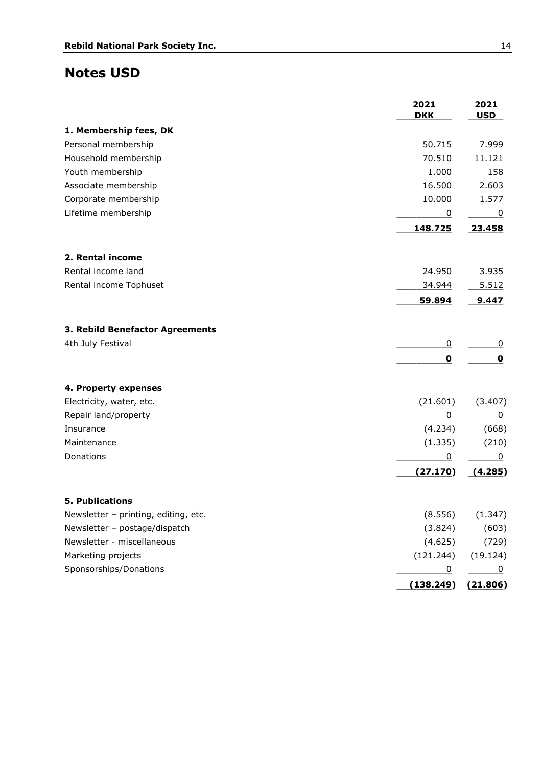### **Notes USD**

|                                      | 2021<br><b>DKK</b> | 2021<br><b>USD</b> |
|--------------------------------------|--------------------|--------------------|
| 1. Membership fees, DK               |                    |                    |
| Personal membership                  | 50.715             | 7.999              |
| Household membership                 | 70.510             | 11.121             |
| Youth membership                     | 1.000              | 158                |
| Associate membership                 | 16.500             | 2.603              |
| Corporate membership                 | 10.000             | 1.577              |
| Lifetime membership                  | $\pmb{0}$          | 0                  |
|                                      | 148.725            | 23.458             |
| 2. Rental income                     |                    |                    |
| Rental income land                   | 24.950             | 3.935              |
| Rental income Tophuset               | 34.944             | 5.512              |
|                                      | 59.894             | 9.447              |
| 3. Rebild Benefactor Agreements      |                    |                    |
| 4th July Festival                    | $\overline{0}$     | $\overline{0}$     |
|                                      | 0                  | $\mathbf 0$        |
| 4. Property expenses                 |                    |                    |
| Electricity, water, etc.             | (21.601)           | (3.407)            |
| Repair land/property                 | $\pmb{0}$          | 0                  |
| Insurance                            | (4.234)            | (668)              |
| Maintenance                          | (1.335)            | (210)              |
| Donations                            | 0                  | 0                  |
|                                      | (27.170)           | (4.285)            |
| 5. Publications                      |                    |                    |
| Newsletter - printing, editing, etc. | (8.556)            | (1.347)            |
| Newsletter - postage/dispatch        | (3.824)            | (603)              |
| Newsletter - miscellaneous           | (4.625)            | (729)              |
| Marketing projects                   | (121.244)          | (19.124)           |
| Sponsorships/Donations               | $\overline{0}$     | $\overline{0}$     |
|                                      | (138.249)          | (21.806)           |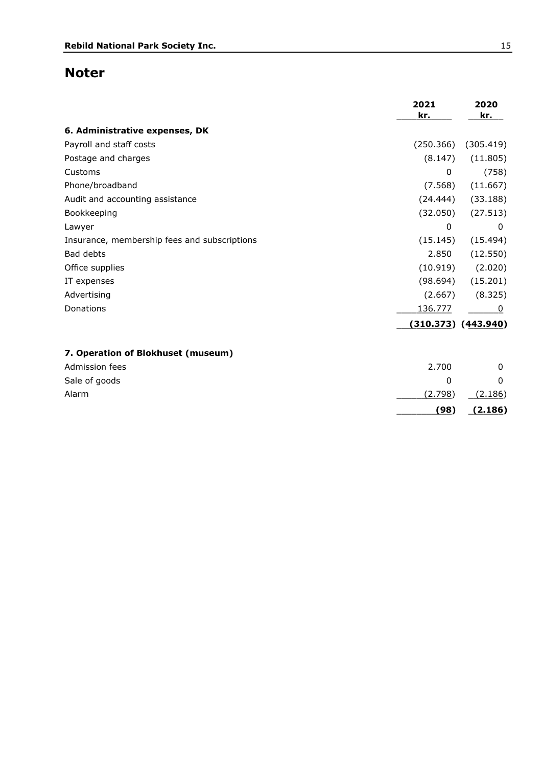# **Noter**

|                                              | 2021<br>kr.  | 2020<br>kr.             |
|----------------------------------------------|--------------|-------------------------|
| 6. Administrative expenses, DK               |              |                         |
| Payroll and staff costs                      | (250.366)    | (305.419)               |
| Postage and charges                          | (8.147)      | (11.805)                |
| Customs                                      | $\mathbf{0}$ | (758)                   |
| Phone/broadband                              | (7.568)      | (11.667)                |
| Audit and accounting assistance              | (24.444)     | (33.188)                |
| Bookkeeping                                  | (32.050)     | (27.513)                |
| Lawyer                                       | $\mathbf 0$  | 0                       |
| Insurance, membership fees and subscriptions | (15.145)     | (15.494)                |
| Bad debts                                    | 2.850        | (12.550)                |
| Office supplies                              | (10.919)     | (2.020)                 |
| IT expenses                                  | (98.694)     | (15.201)                |
| Advertising                                  | (2.667)      | (8.325)                 |
| Donations                                    | 136.777      | 0                       |
|                                              |              | $(310.373)$ $(443.940)$ |
| 7. Operation of Blokhuset (museum)           |              |                         |
| Admission fees                               | 2.700        | $\mathbf{0}$            |
| Sale of goods                                | 0            | 0                       |
| Alarm                                        | (2.798)      | (2.186)                 |
|                                              | (98)         | (2.186)                 |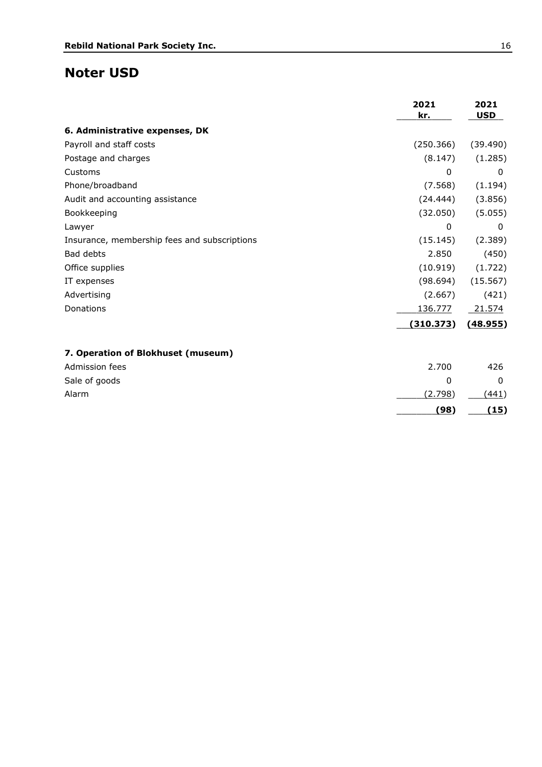### **Noter USD**

|                                              | 2021<br>kr.  | 2021<br><b>USD</b> |
|----------------------------------------------|--------------|--------------------|
| 6. Administrative expenses, DK               |              |                    |
| Payroll and staff costs                      | (250.366)    | (39.490)           |
| Postage and charges                          | (8.147)      | (1.285)            |
| Customs                                      | $\mathbf{0}$ | 0                  |
| Phone/broadband                              | (7.568)      | (1.194)            |
| Audit and accounting assistance              | (24.444)     | (3.856)            |
| Bookkeeping                                  | (32.050)     | (5.055)            |
| Lawyer                                       | 0            | 0                  |
| Insurance, membership fees and subscriptions | (15.145)     | (2.389)            |
| Bad debts                                    | 2.850        | (450)              |
| Office supplies                              | (10.919)     | (1.722)            |
| IT expenses                                  | (98.694)     | (15.567)           |
| Advertising                                  | (2.667)      | (421)              |
| Donations                                    | 136.777      | 21.574             |
|                                              | (310.373)    | (48.955)           |
| 7. Operation of Blokhuset (museum)           |              |                    |
| Admission fees                               | 2.700        | 426                |
| Sale of goods                                | 0            | 0                  |
| Alarm                                        | (2.798)      | (441)              |
|                                              | (98)         | (15)               |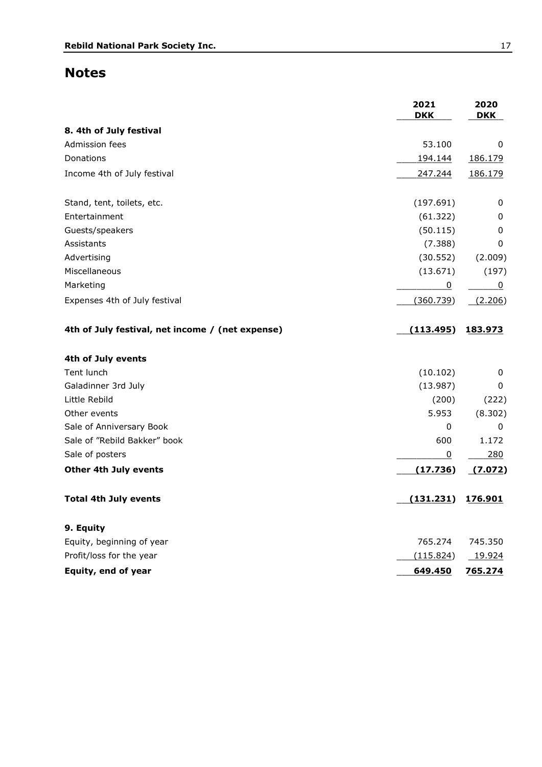# **Notes**

|                                                  | 2021<br><b>DKK</b> | 2020<br><b>DKK</b> |
|--------------------------------------------------|--------------------|--------------------|
| 8. 4th of July festival                          |                    |                    |
| Admission fees                                   | 53.100             | 0                  |
| Donations                                        | 194.144            | 186.179            |
| Income 4th of July festival                      | 247.244            | 186.179            |
| Stand, tent, toilets, etc.                       | (197.691)          | 0                  |
| Entertainment                                    | (61.322)           | 0                  |
| Guests/speakers                                  | (50.115)           | 0                  |
| Assistants                                       | (7.388)            | 0                  |
| Advertising                                      | (30.552)           | (2.009)            |
| Miscellaneous                                    | (13.671)           | (197)              |
| Marketing                                        | $\overline{0}$     | 0                  |
| Expenses 4th of July festival                    | (360.739)          | (2.206)            |
| 4th of July festival, net income / (net expense) | (113.495)          | 183.973            |
| 4th of July events                               |                    |                    |
| Tent lunch                                       | (10.102)           | 0                  |
| Galadinner 3rd July                              | (13.987)           | 0                  |
| Little Rebild                                    | (200)              | (222)              |
| Other events                                     | 5.953              | (8.302)            |
| Sale of Anniversary Book                         | 0                  | 0                  |
| Sale of "Rebild Bakker" book                     | 600                | 1.172              |
| Sale of posters                                  | 0                  | 280                |
| <b>Other 4th July events</b>                     | (17.736)           | (7.072)            |
| <b>Total 4th July events</b>                     | (131.231)          | 176.901            |
| 9. Equity                                        |                    |                    |
| Equity, beginning of year                        | 765.274            | 745.350            |
| Profit/loss for the year                         | (115.824)          | 19.924             |
| Equity, end of year                              | 649.450            | 765.274            |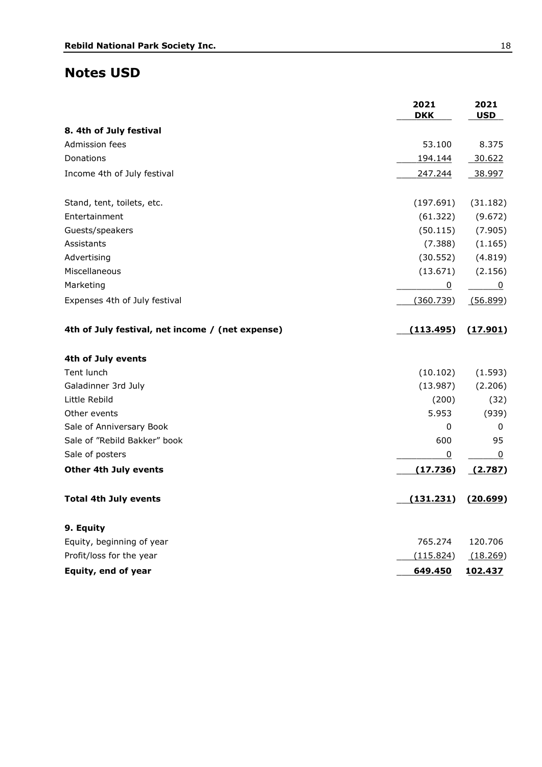### **Notes USD**

|                                                  | 2021<br><b>DKK</b> | 2021<br><b>USD</b> |
|--------------------------------------------------|--------------------|--------------------|
| 8. 4th of July festival                          |                    |                    |
| Admission fees                                   | 53.100             | 8.375              |
| Donations                                        | 194.144            | 30.622             |
| Income 4th of July festival                      | 247.244            | 38.997             |
| Stand, tent, toilets, etc.                       | (197.691)          | (31.182)           |
| Entertainment                                    | (61.322)           | (9.672)            |
| Guests/speakers                                  | (50.115)           | (7.905)            |
| Assistants                                       | (7.388)            | (1.165)            |
| Advertising                                      | (30.552)           | (4.819)            |
| Miscellaneous                                    | (13.671)           | (2.156)            |
| Marketing                                        | $\overline{0}$     | 0                  |
| Expenses 4th of July festival                    | (360.739)          | (56.899)           |
| 4th of July festival, net income / (net expense) | (113.495)          | (17.901)           |
| 4th of July events                               |                    |                    |
| Tent lunch                                       | (10.102)           | (1.593)            |
| Galadinner 3rd July                              | (13.987)           | (2.206)            |
| Little Rebild                                    | (200)              | (32)               |
| Other events                                     | 5.953              | (939)              |
| Sale of Anniversary Book                         | 0                  | 0                  |
| Sale of "Rebild Bakker" book                     | 600                | 95                 |
| Sale of posters                                  | 0                  | 0                  |
| Other 4th July events                            | (17.736)           | (2.787)            |
| <b>Total 4th July events</b>                     | (131.231)          | (20.699)           |
| 9. Equity                                        |                    |                    |
| Equity, beginning of year                        | 765.274            | 120.706            |
| Profit/loss for the year                         | (115.824)          | (18.269)           |
| Equity, end of year                              | 649.450            | 102.437            |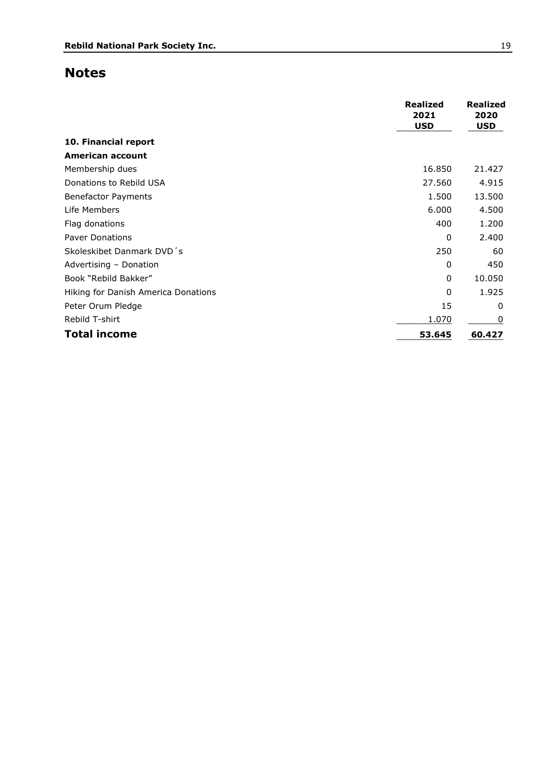### **Notes**

|                                     | <b>Realized</b><br>2021<br><b>USD</b> | <b>Realized</b><br>2020<br><b>USD</b> |
|-------------------------------------|---------------------------------------|---------------------------------------|
| 10. Financial report                |                                       |                                       |
| American account                    |                                       |                                       |
| Membership dues                     | 16,850                                | 21.427                                |
| Donations to Rebild USA             | 27.560                                | 4.915                                 |
| <b>Benefactor Payments</b>          | 1.500                                 | 13.500                                |
| Life Members                        | 6.000                                 | 4.500                                 |
| Flag donations                      | 400                                   | 1.200                                 |
| <b>Paver Donations</b>              | 0                                     | 2.400                                 |
| Skoleskibet Danmark DVD's           | 250                                   | 60                                    |
| Advertising - Donation              | $\mathbf{0}$                          | 450                                   |
| Book "Rebild Bakker"                | $\mathbf{0}$                          | 10.050                                |
| Hiking for Danish America Donations | $\mathbf{0}$                          | 1.925                                 |
| Peter Orum Pledge                   | 15                                    | $\mathbf{0}$                          |
| Rebild T-shirt                      | 1.070                                 | 0                                     |
| <b>Total income</b>                 | 53.645                                | 60.427                                |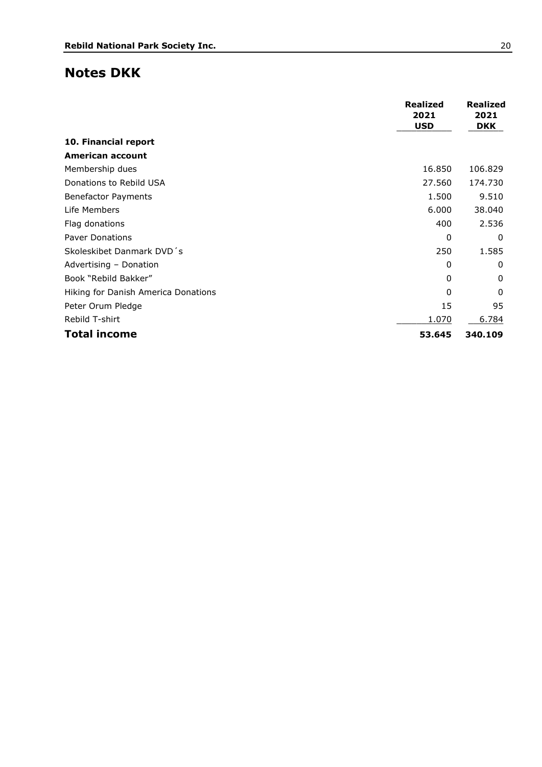### **Notes DKK**

|                                     | <b>Realized</b><br>2021<br><b>USD</b> | <b>Realized</b><br>2021<br><b>DKK</b> |
|-------------------------------------|---------------------------------------|---------------------------------------|
| 10. Financial report                |                                       |                                       |
| American account                    |                                       |                                       |
| Membership dues                     | 16.850                                | 106.829                               |
| Donations to Rebild USA             | 27.560                                | 174.730                               |
| <b>Benefactor Payments</b>          | 1.500                                 | 9.510                                 |
| Life Members                        | 6.000                                 | 38.040                                |
| Flag donations                      | 400                                   | 2.536                                 |
| <b>Paver Donations</b>              | 0                                     | 0                                     |
| Skoleskibet Danmark DVD's           | 250                                   | 1.585                                 |
| Advertising - Donation              | 0                                     | 0                                     |
| Book "Rebild Bakker"                | 0                                     | 0                                     |
| Hiking for Danish America Donations | $\Omega$                              | 0                                     |
| Peter Orum Pledge                   | 15                                    | 95                                    |
| Rebild T-shirt                      | 1.070                                 | 6.784                                 |
| <b>Total income</b>                 | 53.645                                | 340.109                               |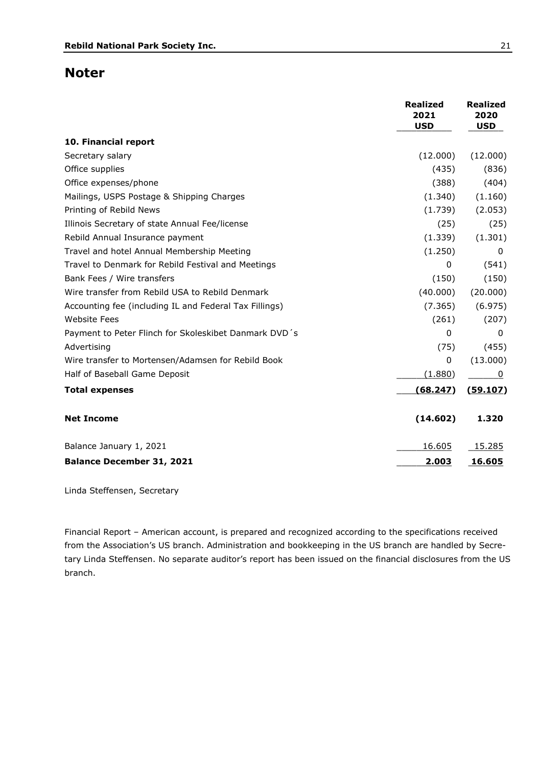### **Noter**

|                                                        | <b>Realized</b><br>2021<br><b>USD</b> | <b>Realized</b><br>2020<br><b>USD</b> |
|--------------------------------------------------------|---------------------------------------|---------------------------------------|
| 10. Financial report                                   |                                       |                                       |
| Secretary salary                                       | (12.000)                              | (12.000)                              |
| Office supplies                                        | (435)                                 | (836)                                 |
| Office expenses/phone                                  | (388)                                 | (404)                                 |
| Mailings, USPS Postage & Shipping Charges              | (1.340)                               | (1.160)                               |
| Printing of Rebild News                                | (1.739)                               | (2.053)                               |
| Illinois Secretary of state Annual Fee/license         | (25)                                  | (25)                                  |
| Rebild Annual Insurance payment                        | (1.339)                               | (1.301)                               |
| Travel and hotel Annual Membership Meeting             | (1.250)                               | 0                                     |
| Travel to Denmark for Rebild Festival and Meetings     | $\Omega$                              | (541)                                 |
| Bank Fees / Wire transfers                             | (150)                                 | (150)                                 |
| Wire transfer from Rebild USA to Rebild Denmark        | (40.000)                              | (20.000)                              |
| Accounting fee (including IL and Federal Tax Fillings) | (7.365)                               | (6.975)                               |
| <b>Website Fees</b>                                    | (261)                                 | (207)                                 |
| Payment to Peter Flinch for Skoleskibet Danmark DVD's  | $\Omega$                              | 0                                     |
| Advertising                                            | (75)                                  | (455)                                 |
| Wire transfer to Mortensen/Adamsen for Rebild Book     | 0                                     | (13.000)                              |
| Half of Baseball Game Deposit                          | (1.880)                               | 0                                     |
| <b>Total expenses</b>                                  | (68.247)                              | (59.107)                              |
| <b>Net Income</b>                                      | (14.602)                              | 1.320                                 |
| Balance January 1, 2021                                | 16.605                                | 15.285                                |
| <b>Balance December 31, 2021</b>                       | 2.003                                 | 16.605                                |

Linda Steffensen, Secretary

Financial Report – American account, is prepared and recognized according to the specifications received from the Association's US branch. Administration and bookkeeping in the US branch are handled by Secretary Linda Steffensen. No separate auditor's report has been issued on the financial disclosures from the US branch.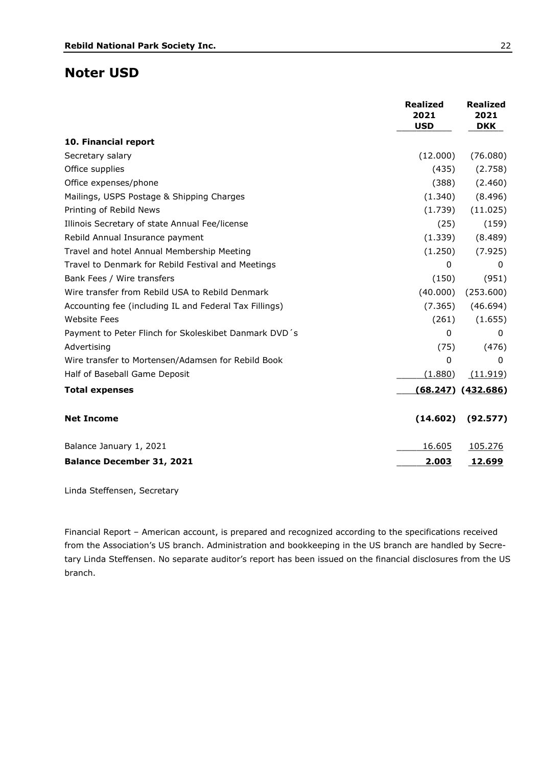### **Noter USD**

|                                                        | <b>Realized</b><br>2021<br><b>USD</b> | <b>Realized</b><br>2021<br><b>DKK</b> |
|--------------------------------------------------------|---------------------------------------|---------------------------------------|
| 10. Financial report                                   |                                       |                                       |
| Secretary salary                                       | (12.000)                              | (76.080)                              |
| Office supplies                                        | (435)                                 | (2.758)                               |
| Office expenses/phone                                  | (388)                                 | (2.460)                               |
| Mailings, USPS Postage & Shipping Charges              | (1.340)                               | (8.496)                               |
| Printing of Rebild News                                | (1.739)                               | (11.025)                              |
| Illinois Secretary of state Annual Fee/license         | (25)                                  | (159)                                 |
| Rebild Annual Insurance payment                        | (1.339)                               | (8.489)                               |
| Travel and hotel Annual Membership Meeting             | (1.250)                               | (7.925)                               |
| Travel to Denmark for Rebild Festival and Meetings     | 0                                     | 0                                     |
| Bank Fees / Wire transfers                             | (150)                                 | (951)                                 |
| Wire transfer from Rebild USA to Rebild Denmark        | (40.000)                              | (253.600)                             |
| Accounting fee (including IL and Federal Tax Fillings) | (7.365)                               | (46.694)                              |
| <b>Website Fees</b>                                    | (261)                                 | (1.655)                               |
| Payment to Peter Flinch for Skoleskibet Danmark DVD's  | $\Omega$                              | 0                                     |
| Advertising                                            | (75)                                  | (476)                                 |
| Wire transfer to Mortensen/Adamsen for Rebild Book     | 0                                     | 0                                     |
| Half of Baseball Game Deposit                          | (1.880)                               | (11.919)                              |
| <b>Total expenses</b>                                  |                                       | $(68.247)$ $(432.686)$                |
| <b>Net Income</b>                                      | (14.602)                              | (92.577)                              |
| Balance January 1, 2021                                | 16.605                                | 105.276                               |
| <b>Balance December 31, 2021</b>                       | 2.003                                 | 12.699                                |

Linda Steffensen, Secretary

Financial Report – American account, is prepared and recognized according to the specifications received from the Association's US branch. Administration and bookkeeping in the US branch are handled by Secretary Linda Steffensen. No separate auditor's report has been issued on the financial disclosures from the US branch.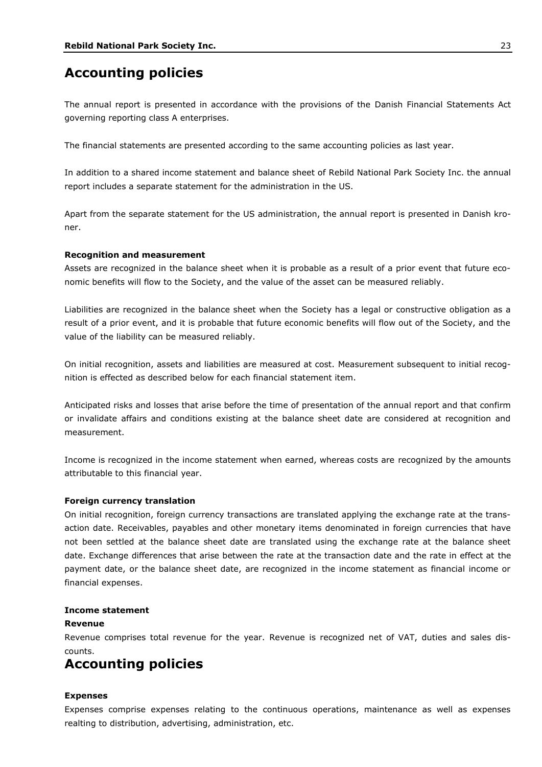## **Accounting policies**

The annual report is presented in accordance with the provisions of the Danish Financial Statements Act governing reporting class A enterprises.

The financial statements are presented according to the same accounting policies as last year.

In addition to a shared income statement and balance sheet of Rebild National Park Society Inc. the annual report includes a separate statement for the administration in the US.

Apart from the separate statement for the US administration, the annual report is presented in Danish kroner.

### **Recognition and measurement**

Assets are recognized in the balance sheet when it is probable as a result of a prior event that future economic benefits will flow to the Society, and the value of the asset can be measured reliably.

Liabilities are recognized in the balance sheet when the Society has a legal or constructive obligation as a result of a prior event, and it is probable that future economic benefits will flow out of the Society, and the value of the liability can be measured reliably.

On initial recognition, assets and liabilities are measured at cost. Measurement subsequent to initial recognition is effected as described below for each financial statement item.

Anticipated risks and losses that arise before the time of presentation of the annual report and that confirm or invalidate affairs and conditions existing at the balance sheet date are considered at recognition and measurement.

Income is recognized in the income statement when earned, whereas costs are recognized by the amounts attributable to this financial year.

### **Foreign currency translation**

On initial recognition, foreign currency transactions are translated applying the exchange rate at the transaction date. Receivables, payables and other monetary items denominated in foreign currencies that have not been settled at the balance sheet date are translated using the exchange rate at the balance sheet date. Exchange differences that arise between the rate at the transaction date and the rate in effect at the payment date, or the balance sheet date, are recognized in the income statement as financial income or financial expenses.

### **Income statement**

### **Revenue**

Revenue comprises total revenue for the year. Revenue is recognized net of VAT, duties and sales discounts.

# **Accounting policies**

### **Expenses**

Expenses comprise expenses relating to the continuous operations, maintenance as well as expenses realting to distribution, advertising, administration, etc.